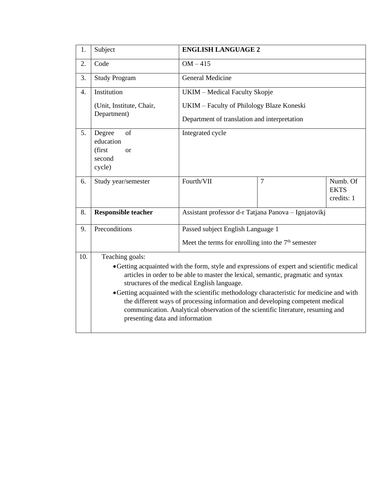| 1.               | Subject                                                                                                                                                                                                                                                                                                                                                                                                                                                                                                                              | <b>ENGLISH LANGUAGE 2</b>                            |                |                                       |  |  |
|------------------|--------------------------------------------------------------------------------------------------------------------------------------------------------------------------------------------------------------------------------------------------------------------------------------------------------------------------------------------------------------------------------------------------------------------------------------------------------------------------------------------------------------------------------------|------------------------------------------------------|----------------|---------------------------------------|--|--|
| 2.               | Code                                                                                                                                                                                                                                                                                                                                                                                                                                                                                                                                 | $OM-415$                                             |                |                                       |  |  |
| 3.               | <b>Study Program</b>                                                                                                                                                                                                                                                                                                                                                                                                                                                                                                                 | <b>General Medicine</b>                              |                |                                       |  |  |
| $\overline{4}$ . | Institution                                                                                                                                                                                                                                                                                                                                                                                                                                                                                                                          | UKIM - Medical Faculty Skopje                        |                |                                       |  |  |
|                  | (Unit, Institute, Chair,                                                                                                                                                                                                                                                                                                                                                                                                                                                                                                             | UKIM – Faculty of Philology Blaze Koneski            |                |                                       |  |  |
|                  | Department)                                                                                                                                                                                                                                                                                                                                                                                                                                                                                                                          | Department of translation and interpretation         |                |                                       |  |  |
| 5.               | Degree<br>of<br>education<br>(first<br><sub>or</sub><br>second<br>cycle)                                                                                                                                                                                                                                                                                                                                                                                                                                                             | Integrated cycle                                     |                |                                       |  |  |
| 6.               | Study year/semester                                                                                                                                                                                                                                                                                                                                                                                                                                                                                                                  | Fourth/VII                                           | $\overline{7}$ | Numb. Of<br><b>EKTS</b><br>credits: 1 |  |  |
| 8.               | <b>Responsible teacher</b>                                                                                                                                                                                                                                                                                                                                                                                                                                                                                                           | Assistant professor d-r Tatjana Panova - Ignjatovikj |                |                                       |  |  |
| 9.               | Preconditions                                                                                                                                                                                                                                                                                                                                                                                                                                                                                                                        | Passed subject English Language 1                    |                |                                       |  |  |
|                  |                                                                                                                                                                                                                                                                                                                                                                                                                                                                                                                                      | Meet the terms for enrolling into the $7th$ semester |                |                                       |  |  |
| 10.              | Teaching goals:                                                                                                                                                                                                                                                                                                                                                                                                                                                                                                                      |                                                      |                |                                       |  |  |
|                  | • Getting acquainted with the form, style and expressions of expert and scientific medical<br>articles in order to be able to master the lexical, semantic, pragmatic and syntax<br>structures of the medical English language.<br>• Getting acquainted with the scientific methodology characteristic for medicine and with<br>the different ways of processing information and developing competent medical<br>communication. Analytical observation of the scientific literature, resuming and<br>presenting data and information |                                                      |                |                                       |  |  |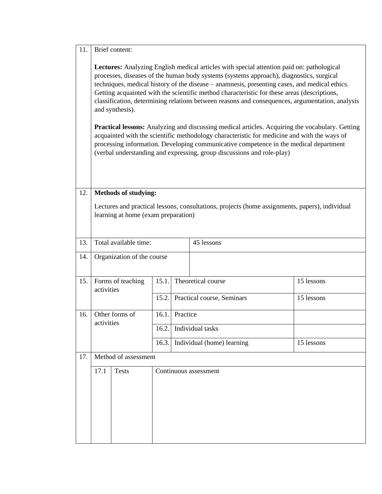| 11. | Brief content:                                                                                                                                                                                                                                                                                                                                                                                                                                                                                                                                                                                                                                                                                                                                                                                                                                                                         |                                     |                                          |            |  |  |  |
|-----|----------------------------------------------------------------------------------------------------------------------------------------------------------------------------------------------------------------------------------------------------------------------------------------------------------------------------------------------------------------------------------------------------------------------------------------------------------------------------------------------------------------------------------------------------------------------------------------------------------------------------------------------------------------------------------------------------------------------------------------------------------------------------------------------------------------------------------------------------------------------------------------|-------------------------------------|------------------------------------------|------------|--|--|--|
|     | Lectures: Analyzing English medical articles with special attention paid on: pathological<br>processes, diseases of the human body systems (systems approach), diagnostics, surgical<br>techniques, medical history of the disease - anamnesis, presenting cases, and medical ethics.<br>Getting acquainted with the scientific method characteristic for these areas (descriptions,<br>classification, determining relations between reasons and consequences, argumentation, analysis<br>and synthesis).<br><b>Practical lessons:</b> Analyzing and discussing medical articles. Acquiring the vocabulary. Getting<br>acquainted with the scientific methodology characteristic for medicine and with the ways of<br>processing information. Developing communicative competence in the medical department<br>(verbal understanding and expressing, group discussions and role-play) |                                     |                                          |            |  |  |  |
|     |                                                                                                                                                                                                                                                                                                                                                                                                                                                                                                                                                                                                                                                                                                                                                                                                                                                                                        |                                     |                                          |            |  |  |  |
| 12. | <b>Methods of studying:</b><br>Lectures and practical lessons, consultations, projects (home assignments, papers), individual<br>learning at home (exam preparation)                                                                                                                                                                                                                                                                                                                                                                                                                                                                                                                                                                                                                                                                                                                   |                                     |                                          |            |  |  |  |
| 13. |                                                                                                                                                                                                                                                                                                                                                                                                                                                                                                                                                                                                                                                                                                                                                                                                                                                                                        | Total available time:<br>45 lessons |                                          |            |  |  |  |
| 14. | Organization of the course                                                                                                                                                                                                                                                                                                                                                                                                                                                                                                                                                                                                                                                                                                                                                                                                                                                             |                                     |                                          |            |  |  |  |
| 15. | Forms of teaching<br>activities                                                                                                                                                                                                                                                                                                                                                                                                                                                                                                                                                                                                                                                                                                                                                                                                                                                        | 15.1.                               | Theoretical course                       | 15 lessons |  |  |  |
|     |                                                                                                                                                                                                                                                                                                                                                                                                                                                                                                                                                                                                                                                                                                                                                                                                                                                                                        | 15.2.                               | Practical course, Seminars               | 15 lessons |  |  |  |
| 16. | Other forms of<br>activities                                                                                                                                                                                                                                                                                                                                                                                                                                                                                                                                                                                                                                                                                                                                                                                                                                                           | 16.1.                               | Practice                                 |            |  |  |  |
|     |                                                                                                                                                                                                                                                                                                                                                                                                                                                                                                                                                                                                                                                                                                                                                                                                                                                                                        | 16.2.                               | Individual tasks                         |            |  |  |  |
|     |                                                                                                                                                                                                                                                                                                                                                                                                                                                                                                                                                                                                                                                                                                                                                                                                                                                                                        | 16.3.                               | Individual (home) learning<br>15 lessons |            |  |  |  |
| 17. | Method of assessment                                                                                                                                                                                                                                                                                                                                                                                                                                                                                                                                                                                                                                                                                                                                                                                                                                                                   |                                     |                                          |            |  |  |  |
|     | 17.1<br><b>Tests</b>                                                                                                                                                                                                                                                                                                                                                                                                                                                                                                                                                                                                                                                                                                                                                                                                                                                                   |                                     | Continuous assessment                    |            |  |  |  |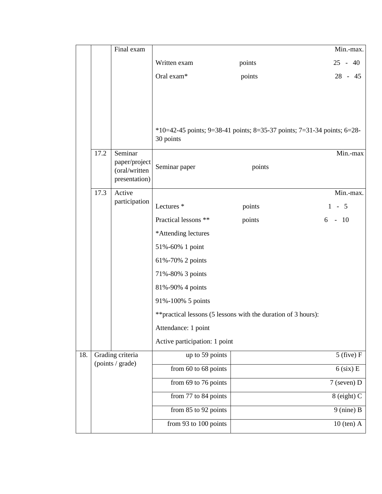|     |      | Final exam                     |                                                                |                                                                         | Min.-max.      |  |  |
|-----|------|--------------------------------|----------------------------------------------------------------|-------------------------------------------------------------------------|----------------|--|--|
|     |      |                                | Written exam                                                   | points                                                                  | $25 - 40$      |  |  |
|     |      |                                | Oral exam*                                                     | points                                                                  | $28 - 45$      |  |  |
|     |      |                                |                                                                |                                                                         |                |  |  |
|     |      |                                |                                                                |                                                                         |                |  |  |
|     |      |                                |                                                                |                                                                         |                |  |  |
|     |      |                                | 30 points                                                      | *10=42-45 points; 9=38-41 points; 8=35-37 points; 7=31-34 points; 6=28- |                |  |  |
|     | 17.2 | Seminar                        |                                                                |                                                                         | Min.-max       |  |  |
|     |      | paper/project<br>(oral/written | Seminar paper                                                  | points                                                                  |                |  |  |
|     |      | presentation)                  |                                                                |                                                                         |                |  |  |
|     | 17.3 | Active                         |                                                                |                                                                         | Min.-max.      |  |  |
|     |      | participation                  | Lectures <sup>*</sup>                                          | points                                                                  | $1 - 5$        |  |  |
|     |      |                                | Practical lessons **                                           | points                                                                  | $6 - 10$       |  |  |
|     |      |                                | *Attending lectures                                            |                                                                         |                |  |  |
|     |      |                                | 51%-60% 1 point                                                |                                                                         |                |  |  |
|     |      |                                | 61%-70% 2 points                                               |                                                                         |                |  |  |
|     |      |                                | 71%-80% 3 points                                               |                                                                         |                |  |  |
|     |      |                                | 81%-90% 4 points                                               |                                                                         |                |  |  |
|     |      |                                | 91%-100% 5 points                                              |                                                                         |                |  |  |
|     |      |                                | ** practical lessons (5 lessons with the duration of 3 hours): |                                                                         |                |  |  |
|     |      |                                | Attendance: 1 point                                            |                                                                         |                |  |  |
|     |      |                                | Active participation: 1 point                                  |                                                                         |                |  |  |
| 18. |      | Grading criteria               | up to 59 points                                                |                                                                         | $5$ (five) $F$ |  |  |
|     |      | (points / grade)               | from 60 to 68 points                                           |                                                                         | $6$ (six) E    |  |  |
|     |      |                                | from 69 to 76 points                                           |                                                                         | $7$ (seven) D  |  |  |
|     |      |                                | from 77 to 84 points                                           |                                                                         | 8 (eight) C    |  |  |
|     |      |                                | from 85 to 92 points                                           |                                                                         | $9$ (nine) B   |  |  |
|     |      |                                | from 93 to 100 points                                          |                                                                         | $10$ (ten) A   |  |  |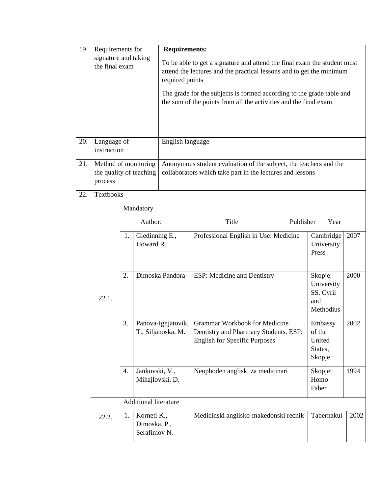| 19. | Requirements for                       |                                                 | <b>Requirements:</b>                                                                                                                                                |                 |                                                                                                                                            |                                                        |      |  |
|-----|----------------------------------------|-------------------------------------------------|---------------------------------------------------------------------------------------------------------------------------------------------------------------------|-----------------|--------------------------------------------------------------------------------------------------------------------------------------------|--------------------------------------------------------|------|--|
|     | signature and taking<br>the final exam |                                                 | To be able to get a signature and attend the final exam the student must<br>attend the lectures and the practical lessons and to get the minimum<br>required points |                 |                                                                                                                                            |                                                        |      |  |
|     |                                        |                                                 |                                                                                                                                                                     |                 | The grade for the subjects is formed according to the grade table and<br>the sum of the points from all the activities and the final exam. |                                                        |      |  |
| 20. | Language of<br>instruction             |                                                 | English language                                                                                                                                                    |                 |                                                                                                                                            |                                                        |      |  |
| 21. | process                                | Method of monitoring<br>the quality of teaching |                                                                                                                                                                     |                 | Anonymous student evaluation of the subject, the teachers and the<br>collaborators which take part in the lectures and lessons             |                                                        |      |  |
| 22. | Textbooks                              |                                                 |                                                                                                                                                                     |                 |                                                                                                                                            |                                                        |      |  |
|     |                                        |                                                 | Mandatory                                                                                                                                                           |                 |                                                                                                                                            |                                                        |      |  |
|     |                                        | Author:                                         |                                                                                                                                                                     |                 | Title<br>Publisher<br>Year                                                                                                                 |                                                        |      |  |
|     |                                        | 1.                                              | Gledinning E.,<br>Howard R.                                                                                                                                         |                 | Professional English in Use: Medicine                                                                                                      | Cambridge<br>University<br>Press                       | 2007 |  |
|     | 22.1.                                  | 2.                                              |                                                                                                                                                                     | Dimoska Pandora | ESP: Medicine and Dentistry                                                                                                                | Skopje:<br>University<br>SS. Cyril<br>and<br>Methodius | 2000 |  |
|     |                                        | 3.                                              | Panova-Ignjatovik,<br>T., Siljanoska, M.                                                                                                                            |                 | Grammar Workbook for Medicine<br>Dentistry and Pharmacy Students. ESP:<br><b>English for Specific Purposes</b>                             | Embassy<br>of the<br>United<br>States,<br>Skopje       | 2002 |  |
|     |                                        | 4.                                              | Jankovski, V.,<br>Mihajlovski, D.                                                                                                                                   |                 | Neophoden angliski za medicinari                                                                                                           | Skopje:<br>Homo<br>Faber                               | 1994 |  |
|     |                                        |                                                 | Additional literature                                                                                                                                               |                 |                                                                                                                                            |                                                        |      |  |
|     | 22.2.                                  | 1.                                              | Korneti K.,<br>Dimoska, P.,<br>Serafimov <sub>N.</sub>                                                                                                              |                 | Medicinski anglisko-makedonski recnik                                                                                                      | Tabernakul                                             | 2002 |  |